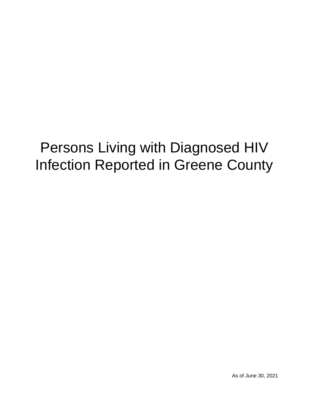# Persons Living with Diagnosed HIV Infection Reported in Greene County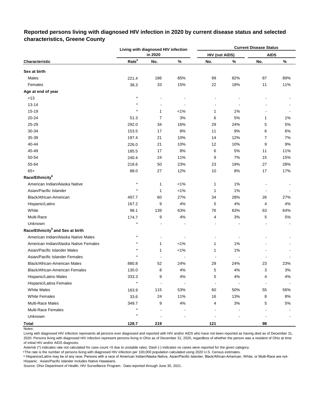|                                              |                   | Living with diagnosed HIV infection |         | <b>Current Disease Status</b> |       |             |       |  |  |  |
|----------------------------------------------|-------------------|-------------------------------------|---------|-------------------------------|-------|-------------|-------|--|--|--|
|                                              |                   | in 2020                             |         | <b>HIV (not AIDS)</b>         |       | <b>AIDS</b> |       |  |  |  |
| Characteristic                               | Rate <sup>a</sup> | No.                                 | $\%$    | No.                           | %     | No.         | $\%$  |  |  |  |
| Sex at birth                                 |                   |                                     |         |                               |       |             |       |  |  |  |
| Males                                        | 221.4             | 186                                 | 85%     | 99                            | 82%   | 87          | 89%   |  |  |  |
| Females                                      | 38.3              | 33                                  | 15%     | 22                            | 18%   | 11          | 11%   |  |  |  |
| Age at end of year                           |                   |                                     |         |                               |       |             |       |  |  |  |
| < 13                                         | $^{\star}$        |                                     |         |                               |       |             |       |  |  |  |
| 13-14                                        |                   |                                     |         |                               |       |             |       |  |  |  |
| 15-19                                        | $\star$           | 1                                   | $< 1\%$ | 1                             | 1%    |             |       |  |  |  |
| 20-24                                        | 51.3              | $\overline{7}$                      | 3%      | 6                             | 5%    | 1           | 1%    |  |  |  |
| 25-29                                        | 292.0             | 34                                  | 16%     | 29                            | 24%   | 5           | 5%    |  |  |  |
| 30-34                                        | 153.5             | 17                                  | 8%      | 11                            | 9%    | 6           | 6%    |  |  |  |
| 35-39                                        | 197.4             | 21                                  | 10%     | 14                            | 12%   | 7           | 7%    |  |  |  |
| 40-44                                        | 226.0             | 21                                  | 10%     | 12                            | 10%   | 9           | 9%    |  |  |  |
| 45-49                                        | 185.5             | 17                                  | 8%      | 6                             | $5%$  | 11          | 11%   |  |  |  |
| 50-54                                        | 240.4             | 24                                  | 11%     | 9                             | 7%    | 15          | 15%   |  |  |  |
| 55-64                                        | 218.6             | 50                                  | 23%     | 23                            | 19%   | 27          | 28%   |  |  |  |
| $65+$                                        | 88.0              | 27                                  | 12%     | 10                            | 8%    | 17          | 17%   |  |  |  |
| Race/Ethnicity <sup>b</sup>                  |                   |                                     |         |                               |       |             |       |  |  |  |
| American Indian/Alaska Native                | $^{\star}$        | 1                                   | $< 1\%$ | 1                             | 1%    |             |       |  |  |  |
| Asian/Pacific Islander                       | $\star$           | 1                                   | $< 1\%$ | 1                             | 1%    |             |       |  |  |  |
| Black/African-American                       | 497.7             | 60                                  | 27%     | 34                            | 28%   | 26          | 27%   |  |  |  |
| Hispanic/Latinx                              | 167.2             | 9                                   | 4%      | 5                             | 4%    | 4           | 4%    |  |  |  |
| White                                        | 98.1              | 139                                 | 63%     | 76                            | 63%   | 63          | 64%   |  |  |  |
| Multi-Race                                   | 174.7             | 9                                   | 4%      | 4                             | 3%    | 5           | 5%    |  |  |  |
| Unknown                                      | $\star$           |                                     |         |                               |       |             |       |  |  |  |
| Race/Ethnicity <sup>b</sup> and Sex at birth |                   |                                     |         |                               |       |             |       |  |  |  |
| American Indian/Alaska Native Males          | $\star$           |                                     |         |                               |       |             |       |  |  |  |
| American Indian/Alaska Native Females        | $^{\star}$        | 1                                   | $< 1\%$ | $\mathbf{1}$                  | 1%    |             |       |  |  |  |
| Asian/Pacific Islander Males                 |                   | 1                                   | $< 1\%$ | $\mathbf{1}$                  | 1%    |             |       |  |  |  |
| Asian/Pacific Islander Females               |                   |                                     |         |                               |       |             |       |  |  |  |
| Black/African-American Males                 | 880.8             | 52                                  | 24%     | 29                            | 24%   | 23          | 23%   |  |  |  |
| Black/African-American Females               | 130.0             | 8                                   | $4\%$   | 5                             | $4\%$ | 3           | $3\%$ |  |  |  |
| Hispanic/Latino Males                        | 333.3             | 9                                   | 4%      | 5                             | 4%    | 4           | 4%    |  |  |  |
| Hispanic/Latina Females                      | $\star$           | $\overline{a}$                      |         |                               |       |             |       |  |  |  |
| <b>White Males</b>                           | 163.9             | 115                                 | 53%     | 60                            | 50%   | 55          | 56%   |  |  |  |
| <b>White Females</b>                         | 33.6              | 24                                  | 11%     | 16                            | 13%   | 8           | $8\%$ |  |  |  |
| <b>Multi-Race Males</b>                      | 349.7             | 9                                   | 4%      | 4                             | 3%    | 5           | 5%    |  |  |  |
| Multi-Race Females                           | $\star$           |                                     |         |                               |       |             |       |  |  |  |
| Unknown                                      | $^{\star}$        |                                     |         |                               |       |             |       |  |  |  |
| <b>Total</b>                                 | 128.7             | 219                                 |         | 121                           |       | 98          |       |  |  |  |

# **Reported persons living with diagnosed HIV infection in 2020 by current disease status and selected characteristics, Greene County**

Living with diagnosed HIV infection represents all persons ever diagnosed and reported with HIV and/or AIDS who have not been reported as having died as of December 31, 2020. Persons living with diagnosed HIV infection represent persons living in Ohio as of December 31, 2020, regardless of whether the person was a resident of Ohio at time of initial HIV and/or AIDS diagnosis.

Asterisk (\*) indicates rate not calculated for case count <5 due to unstable rates. Dash (-) indicates no cases were reported for the given category.

a The rate is the number of persons living with diagnosed HIV infection per 100,000 population calculated using 2020 U.S. Census estimates.

ᵇ Hispanics/Latinx may be of any race. Persons with a race of American Indian/Alaska Native, Asian/Pacific Islander, Black/African-American, White, or Multi-Race are not-Hispanic. Asian/Pacific Islander includes Native Hawaiians.

Notes: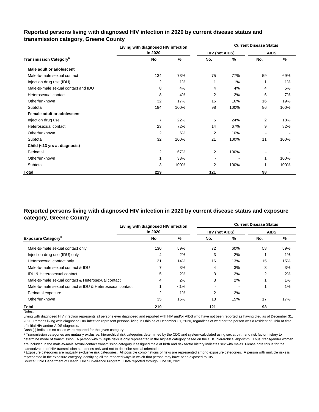### **Reported persons living with diagnosed HIV infection in 2020 by current disease status and transmission category, Greene County**

|                                          | Living with diagnosed HIV infection |      | <b>Current Disease Status</b> |       |                          |      |  |  |  |
|------------------------------------------|-------------------------------------|------|-------------------------------|-------|--------------------------|------|--|--|--|
|                                          | in 2020                             |      | <b>HIV (not AIDS)</b>         |       | <b>AIDS</b>              |      |  |  |  |
| <b>Transmission Category<sup>a</sup></b> | No.                                 | %    | No.                           | %     | No.                      | %    |  |  |  |
| Male adult or adolescent                 |                                     |      |                               |       |                          |      |  |  |  |
| Male-to-male sexual contact              | 134                                 | 73%  | 75                            | 77%   | 59                       | 69%  |  |  |  |
| Injection drug use (IDU)                 | 2                                   | 1%   | 1                             | $1\%$ | 1                        | 1%   |  |  |  |
| Male-to-male sexual contact and IDU      | 8                                   | 4%   | 4                             | 4%    | 4                        | 5%   |  |  |  |
| Heterosexual contact                     | 8                                   | 4%   | $\overline{2}$                | 2%    | 6                        | 7%   |  |  |  |
| Other/unknown                            | 32                                  | 17%  | 16                            | 16%   | 16                       | 19%  |  |  |  |
| Subtotal                                 | 184                                 | 100% | 98                            | 100%  | 86                       | 100% |  |  |  |
| Female adult or adolescent               |                                     |      |                               |       |                          |      |  |  |  |
| Injection drug use                       | $\overline{7}$                      | 22%  | 5                             | 24%   | 2                        | 18%  |  |  |  |
| Heterosexual contact                     | 23                                  | 72%  | 14                            | 67%   | 9                        | 82%  |  |  |  |
| Other/unknown                            | 2                                   | 6%   | 2                             | 10%   | $\overline{\phantom{a}}$ |      |  |  |  |
| Subtotal                                 | 32                                  | 100% | 21                            | 100%  | 11                       | 100% |  |  |  |
| Child (<13 yrs at diagnosis)             |                                     |      |                               |       |                          |      |  |  |  |
| Perinatal                                | 2                                   | 67%  | $\overline{2}$                | 100%  |                          |      |  |  |  |
| Other/unknown                            | 1                                   | 33%  | $\overline{\phantom{a}}$      |       |                          | 100% |  |  |  |
| Subtotal                                 | 3                                   | 100% | 2                             | 100%  |                          | 100% |  |  |  |
| Total                                    | 219                                 |      | 121                           |       | 98                       |      |  |  |  |

### **Reported persons living with diagnosed HIV infection in 2020 by current disease status and exposure category, Greene County**

|                                                          | Living with diagnosed HIV infection |         | <b>Current Disease Status</b> |     |             |       |  |  |  |
|----------------------------------------------------------|-------------------------------------|---------|-------------------------------|-----|-------------|-------|--|--|--|
|                                                          | in 2020                             |         | <b>HIV (not AIDS)</b>         |     | <b>AIDS</b> |       |  |  |  |
| <b>Exposure Category</b> <sup>b</sup>                    | No.                                 | %       | No.                           | %   | No.         | %     |  |  |  |
| Male-to-male sexual contact only                         | 130                                 | 59%     | 72                            | 60% | 58          | 59%   |  |  |  |
| Injection drug use (IDU) only                            | 4                                   | 2%      | 3                             | 2%  |             | $1\%$ |  |  |  |
| Heterosexual contact only                                | 31                                  | 14%     | 16                            | 13% | 15          | 15%   |  |  |  |
| Male-to-male sexual contact & IDU                        |                                     | 3%      | 4                             | 3%  | 3           | 3%    |  |  |  |
| <b>IDU &amp; Heterosexual contact</b>                    | 5                                   | 2%      | 3                             | 2%  | 2           | 2%    |  |  |  |
| Male-to-male sexual contact & Heterosexual contact       | 4                                   | 2%      | 3                             | 2%  |             | $1\%$ |  |  |  |
| Male-to-male sexual contact & IDU & Heterosexual contact |                                     | $< 1\%$ |                               |     |             | $1\%$ |  |  |  |
| Perinatal exposure                                       | 2                                   | $1\%$   | 2                             | 2%  |             |       |  |  |  |
| Other/unknown                                            | 35                                  | 16%     | 18                            | 15% | 17          | 17%   |  |  |  |
| Total                                                    | 219                                 |         | 121                           |     | 98          |       |  |  |  |

Notes:

Living with diagnosed HIV infection represents all persons ever diagnosed and reported with HIV and/or AIDS who have not been reported as having died as of December 31, 2020. Persons living with diagnosed HIV infection represent persons living in Ohio as of December 31, 2020, regardless of whether the person was a resident of Ohio at time of initial HIV and/or AIDS diagnosis.

Dash (-) indicates no cases were reported for the given category.

a Transmission categories are mutually exclusive, hierarchical risk categories determined by the CDC and system-calculated using sex at birth and risk factor history to determine mode of transmission. A person with multiple risks is only represented in the highest category based on the CDC hierarchical algorithm. Thus, transgender women are included in the male-to-male sexual contact transmission category if assigned male at birth and risk factor history indicates sex with males. Please note this is for the categorization of HIV transmission categories only and not to describe sexual orientation.

**b** Exposure categories are mutually exclusive risk categories. All possible combinations of risks are represented among exposure categories. A person with multiple risks is represented in the exposure category identifying all the reported ways in which that person may have been exposed to HIV.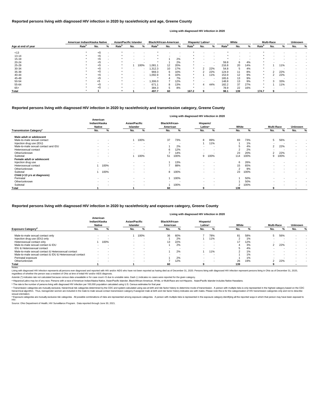© Transmission categories are mutually exclusive, hierarchical risk categories determined by the CDC and system-calculated using sex at birth and risk factor history to determine mode of transmission. A person with multip hierarchical algorithm. Thus, transgender women are included in the male-to-male sexual contact transmission category if assigned male at birth and risk factor history indicates sex with males. Please note this is for the sexual orientation.

<sup>d</sup> Exposure categories are mutually exclusive risk categories. All possible combinations of risks are represented among exposure categories. A person with multiple risks is represented in the exposure category identifying

|                                           |                                            |                          |                                  |        |                                   |      | Living with diagnosed HIV infection in 2020 |                          |                |      |                   |      |                |                          |
|-------------------------------------------|--------------------------------------------|--------------------------|----------------------------------|--------|-----------------------------------|------|---------------------------------------------|--------------------------|----------------|------|-------------------|------|----------------|--------------------------|
|                                           | American<br>Indian/Alaska<br><b>Native</b> |                          | <b>Asian/Pacific</b><br>Islander |        | <b>Black/African-</b><br>American |      | Hispanic/<br>Latinx <sup>a</sup>            |                          | White          |      | <b>Multi-Race</b> |      | <b>Unknown</b> |                          |
| <b>Transmission Category</b> <sup>c</sup> | No.                                        | %                        | No.                              | %      | No.                               | %    | No.                                         | %                        | No.            | %    | No.               | %    | No.            | %                        |
| Male adult or adolescent                  |                                            |                          |                                  |        |                                   |      |                                             |                          |                |      |                   |      |                |                          |
| Male-to-male sexual contact               | $\sim$                                     | $\sim$                   |                                  | 100%   | 37                                | 73%  | 8                                           | 89%                      | 83             | 73%  | 5                 | 56%  | $\sim$         | $\overline{\phantom{a}}$ |
| Injection drug use (IDU)                  | $\sim$                                     | $\sim$                   | $\sim$                           | $\sim$ | $\overline{\phantom{a}}$          |      |                                             | 11%                      |                | 1%   |                   |      | $\sim$         | $\blacksquare$           |
| Male-to-male sexual contact and IDU       |                                            |                          | $\sim$                           |        |                                   | 2%   |                                             |                          | 5              | 4%   | $\mathbf{2}$      | 22%  | $\sim$         | $\sim$                   |
| Heterosexual contact                      |                                            |                          | <b>Section</b>                   | $\sim$ | 6                                 | 12%  | $\sim$                                      |                          | $\overline{2}$ | 2%   |                   |      | $\sim$         | $\overline{\phantom{0}}$ |
| Other/unknown                             |                                            |                          | $\sim$                           |        |                                   | 14%  |                                             |                          | 23             | 20%  | 2                 | 22%  | $\sim$         | $\blacksquare$           |
| Subtotal                                  | $\overline{\phantom{a}}$                   |                          |                                  | 100%   | 51                                | 100% | 9                                           | 100%                     | 114            | 100% | 9                 | 100% | $\sim$         | $\sim$                   |
| Female adult or adolescent                |                                            |                          |                                  |        |                                   |      |                                             |                          |                |      |                   |      |                |                          |
| Injection drug use                        | $\sim$                                     |                          | $\sim$                           | $\sim$ |                                   | 13%  | $\sim$                                      | $\overline{\phantom{a}}$ | 6              | 26%  | $\sim$            |      |                | $\sim$                   |
| Heterosexual contact                      |                                            | 100%                     | $\sim$                           |        |                                   | 88%  | $\sim$                                      | <b>.</b>                 | 15             | 65%  | . .               |      |                | $\,$ $\,$                |
| Other/unknown                             |                                            |                          | $\sim$                           | $\sim$ |                                   |      | $\sim$                                      |                          | $\overline{2}$ | 9%   |                   |      |                | $\sim$                   |
| Subtotal                                  |                                            | 100%                     | $\sim$                           |        | 8                                 | 100% | $\overline{\phantom{0}}$                    |                          | 23             | 100% |                   |      |                | $\overline{\phantom{a}}$ |
| Child (<13 yrs at diagnosis)              |                                            |                          |                                  |        |                                   |      |                                             |                          |                |      |                   |      |                |                          |
| Perinatal                                 | $\blacksquare$                             | $\overline{\phantom{a}}$ | $\sim$                           | $\sim$ |                                   | 100% | $\sim$                                      | $\blacksquare$           |                | 50%  | $\sim$            |      |                |                          |
| Other/unknown                             |                                            |                          | $\sim$                           | $\sim$ |                                   |      | $\sim$                                      | $\blacksquare$           |                | 50%  |                   |      |                | $\,$ $\,$                |
| Subtotal                                  | $\overline{\phantom{a}}$                   |                          | $\sim$                           |        |                                   | 100% | $\sim$                                      |                          | $\overline{2}$ | 100% | $\sim$            |      |                | $\overline{\phantom{a}}$ |
| <b>Total</b>                              |                                            |                          |                                  |        | 60                                |      | 9                                           |                          | 139            |      |                   |      |                |                          |

Living with diagnosed HIV infection represents all persons ever diagnosed and reported with HIV and/or AIDS who have not been reported as having died as of December 31, 2020. Persons living with diagnosed HIV infection rep regardless of whether the person was a resident of Ohio at time of initial HIV and/or AIDS diagnosis.

#### Notes:

#### **Reported persons living with diagnosed HIV infection in 2020 by race/ethnicity and transmission category, Greene County**

|                    | American Indian/Alaska Native |     |   | <b>Asian/Pacific Islander</b> |           |                          | <b>Black/African-American</b> |     |     | Hispanic/ Latinx <sup>a</sup> |     |                          |                   | White                    |     |                   | <b>Multi-Race</b> |     | <b>Unknown</b> |   |
|--------------------|-------------------------------|-----|---|-------------------------------|-----------|--------------------------|-------------------------------|-----|-----|-------------------------------|-----|--------------------------|-------------------|--------------------------|-----|-------------------|-------------------|-----|----------------|---|
| Age at end of year | Rate <sup>b</sup>             | No. | % | Rate <sup>p</sup>             | No.       | %                        | Rate <sup>r</sup>             | No. | %   | Rate <sup>r</sup>             | No. | %                        | Rate <sup>"</sup> | No.                      | %   | Rate <sup>"</sup> | No.               | %   | No.            | % |
| < 13               |                               | $5$ |   |                               |           |                          |                               |     |     |                               |     |                          |                   |                          |     |                   |                   |     |                |   |
| $13 - 14$          |                               | < 5 |   |                               |           |                          |                               |     | . . |                               |     |                          |                   | $\overline{\phantom{a}}$ |     |                   |                   |     |                |   |
| $15 - 19$          |                               |     |   |                               |           | $\,$ $\,$                |                               |     | 2%  |                               |     |                          |                   | $\overline{\phantom{a}}$ |     |                   |                   |     |                |   |
| $20 - 24$          |                               | < 5 |   |                               |           |                          |                               |     | 2%  |                               |     | $\overline{\phantom{a}}$ | 59.8              | 6                        | 4%  |                   |                   |     |                |   |
| 25-29              |                               | <5  |   |                               |           | 100%                     | 1,081.1                       | 12  | 20% |                               |     | $\sim$                   | 216.8             | 20                       | 14% |                   |                   | 11% |                |   |
| 30-34              |                               | $5$ |   |                               |           |                          | .312.3                        | 10  | 17% | $\star$                       |     | 22%                      | 54.8              | 5                        | 4%  |                   |                   |     |                |   |
| 35-39              |                               | < 5 |   |                               | $\sim$    | $\,$ $\,$                | 969.3                         | 6   | 10% | $\star$                       |     | 22%                      | 124.9             | 11                       | 8%  |                   | $\sqrt{2}$        | 22% |                |   |
| 40-44              |                               | <5  |   |                               |           | $\,$ $\,$                | 1,092.9                       | 6.  | 10% |                               |     | 11%                      | 153.9             | 12                       | 9%  |                   |                   | 22% |                |   |
| 45-49              |                               | $5$ |   |                               | $\sim$    | $\overline{\phantom{a}}$ |                               |     | 7%  | $\star$                       | . . | $\sim$                   | 165.6             | 13                       | 9%  |                   |                   |     |                |   |
| 50-54              |                               | $5$ |   |                               | $\,$ $\,$ | $\sim$                   | ,306.0                        |     | 12% | $\star$                       |     | $\sim$                   | 148.8             | 13                       | 9%  |                   | 3                 | 33% |                |   |
| 55-64              |                               |     |   |                               |           | $\,$ $\,$                | 671.1                         |     | 13% | $\star$                       | 4   | 44%                      | 182.2             | 37                       | 27% | $\ast$            |                   | 11% |                |   |
| $65+$              |                               | <5  |   |                               |           | $\,$ $\,$                | 384.3                         | 5   | 8%  |                               |     | $\,$ $\,$                | 78.9              | 22                       | 16% |                   |                   |     |                |   |
| <b>Total</b>       |                               |     |   |                               |           |                          | 497.7                         | 60  |     | 167.2                         |     |                          | 98.1              | 139                      |     | 174.7             |                   |     |                |   |

#### **Reported persons living with diagnosed HIV infection in 2020 by race/ethnicity and age, Greene County**

#### **Living with diagnosed HIV infection in 2020**

#### **Reported persons living with diagnosed HIV infection in 2020 by race/ethnicity and exposure category, Greene County**

#### **Living with diagnosed HIV infection in 2020**

Source: Ohio Department of Health, HIV Surveillance Program. Data reported through June 30, 2021.

|                                                          | American<br>Indian/Alaska<br><b>Native</b> |                          | <b>Asian/Pacific</b><br>Islander |        | <b>Black/African-</b><br>American |                          | Hispanic/<br>Latinx <sup>a</sup> |        | White |     | <b>Multi-Race</b> |     | <b>Unknown</b> |   |
|----------------------------------------------------------|--------------------------------------------|--------------------------|----------------------------------|--------|-----------------------------------|--------------------------|----------------------------------|--------|-------|-----|-------------------|-----|----------------|---|
| <b>Exposure Category<sup>a</sup></b>                     | No.                                        |                          | No.                              |        | No.                               |                          | No.                              |        | No.   |     | No.               |     | No.            | % |
| Male-to-male sexual contact only                         | $\sim$                                     | -                        |                                  | 100%   | 36                                | 60%                      |                                  | 78%    | 81    | 58% | 5                 | 56% |                |   |
| Injection drug use (IDU) only                            |                                            | -                        |                                  |        |                                   | 2%                       |                                  | 11%    |       | 1%  |                   |     |                |   |
| Heterosexual contact only                                |                                            | 100%                     | $\sim$                           | $\sim$ | 13                                | 22%                      |                                  | . .    | 17    | 12% | $\sim$            |     |                |   |
| Male-to-male sexual contact & IDU                        |                                            | $\overline{\phantom{a}}$ | $\sim$                           | $\sim$ |                                   | 2%                       |                                  | $\sim$ |       | 3%  | $\overline{2}$    | 22% |                |   |
| IDU & Heterosexual contact                               | $\sim$                                     | . .                      |                                  | . .    | $\sim$                            | $\overline{\phantom{a}}$ |                                  | . .    |       | 4%  |                   |     |                |   |
| Male-to-male sexual contact & Heterosexual contact       |                                            | -                        |                                  | . .    |                                   | 2%                       |                                  | 11%    |       | 1%  |                   |     |                |   |
| Male-to-male sexual contact & IDU & Heterosexual contact | $\sim$                                     |                          |                                  |        |                                   | -                        |                                  | . .    |       | 1%  |                   |     |                |   |
| Perinatal exposure                                       | $\sim$                                     | -                        |                                  | . .    |                                   | 2%                       |                                  | . .    |       | 1%  |                   |     |                |   |
| Other/unknown                                            | $\sim$                                     | $\overline{\phantom{a}}$ |                                  | $\sim$ |                                   | 12%                      |                                  | . .    | 26    | 19% | ົ                 | 22% |                |   |
| Total                                                    |                                            |                          |                                  |        | -60                               |                          |                                  |        | 139   |     |                   |     |                |   |

ᵇ The rate is the number of persons living with diagnosed HIV infection per 100,000 population calculated using U.S. Census estimates for that year.

Asterisk (\*) indicates rate not calculated because census data unavailable or for case count <5 due to unstable rates. Dash (-) indicates no cases were reported for the given category.

a Hispanics/Latinx may be of any race. Persons with a race of American Indian/Alaska Native, Asian/Pacific Islander, Black/African-American, White, or Multi-Race are not-Hispanic. Asian/Pacific Islander includes Native Haw

#### HIV.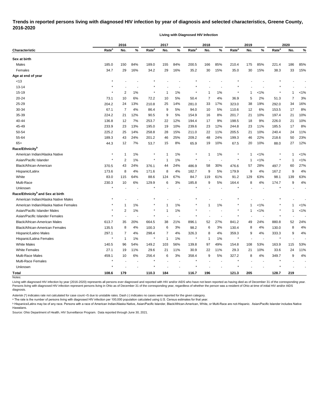## **Trends in reported persons living with diagnosed HIV infection by year of diagnosis and selected characteristics, Greene County, 2016-2020**

**Living with Diagnosed HIV Infection**

|                                              |                   | 2016                    |       |                   | 2017 |     |                   | 2018 |     |                   | 2019         |         |                   | 2020 |      |  |
|----------------------------------------------|-------------------|-------------------------|-------|-------------------|------|-----|-------------------|------|-----|-------------------|--------------|---------|-------------------|------|------|--|
| <b>Characteristic</b>                        | Rate <sup>a</sup> | No.                     | %     | Rate <sup>a</sup> | No.  | %   | Rate <sup>a</sup> | No.  | %   | Rate <sup>a</sup> | No.          | %       | Rate <sup>a</sup> | No.  | $\%$ |  |
| Sex at birth                                 |                   |                         |       |                   |      |     |                   |      |     |                   |              |         |                   |      |      |  |
| Males                                        | 185.0             | 150                     | 84%   | 189.0             | 155  | 84% | 200.5             | 166  | 85% | 210.4             | 175          | 85%     | 221.4             | 186  | 85%  |  |
| Females                                      | 34.7              | 29                      | 16%   | 34.2              | 29   | 16% | 35.2              | 30   | 15% | 35.0              | 30           | 15%     | 38.3              | 33   | 15%  |  |
| Age at end of year                           |                   |                         |       |                   |      |     |                   |      |     |                   |              |         |                   |      |      |  |
| < 13                                         | $\star$           |                         |       |                   |      |     |                   |      |     |                   |              |         |                   |      |      |  |
| 13-14                                        |                   |                         |       |                   |      |     |                   |      |     |                   |              |         |                   |      |      |  |
| 15-19                                        | $\star$           | $\overline{2}$          | 1%    | $^\star$          | 1    | 1%  | ×                 | 1    | 1%  |                   | $\mathbf{1}$ | $< 1\%$ |                   |      | 1%   |  |
| 20-24                                        | 73.1              | 10                      | 6%    | 72.2              | 10   | 5%  | 50.4              | 7    | 4%  | 36.9              | 5            | 2%      | 51.3              | 7    | 3%   |  |
| 25-29                                        | 204.2             | 24                      | 13%   | 210.8             | 25   | 14% | 281.0             | 33   | 17% | 323.0             | 38           | 19%     | 292.0             | 34   | 16%  |  |
| 30-34                                        | 67.1              | 7                       | 4%    | 86.4              | 9    | 5%  | 94.0              | 10   | 5%  | 110.6             | 12           | 6%      | 153.5             | 17   | 8%   |  |
| 35-39                                        | 224.2             | 21                      | 12%   | 90.5              | 9    | 5%  | 154.9             | 16   | 8%  | 201.7             | 21           | 10%     | 197.4             | 21   | 10%  |  |
| 40-44                                        | 136.8             | 12                      | 7%    | 253.7             | 22   | 12% | 194.4             | 17   | 9%  | 198.5             | 18           | 9%      | 226.0             | 21   | 10%  |  |
| 45-49                                        | 233.9             | 23                      | 13%   | 195.0             | 19   | 10% | 239.6             | 23   | 12% | 244.8             | 23           | 11%     | 185.5             | 17   | 8%   |  |
| 50-54                                        | 225.2             | 25                      | 14%   | 258.8             | 28   | 15% | 211.0             | 22   | 11% | 205.5             | 21           | 10%     | 240.4             | 24   | 11%  |  |
| 55-64                                        | 189.3             | 43                      | 24%   | 201.2             | 46   | 25% | 209.2             | 48   | 24% | 199.3             | 46           | 22%     | 218.6             | 50   | 23%  |  |
| $65+$                                        | 44.3              | 12                      | 7%    | 53.7              | 15   | 8%  | 65.9              | 19   | 10% | 67.5              | 20           | 10%     | 88.0              | 27   | 12%  |  |
| Race/Ethnicity <sup>b</sup>                  |                   |                         |       |                   |      |     |                   |      |     |                   |              |         |                   |      |      |  |
| American Indian/Alaska Native                | $\star$           | $\mathbf{1}$            | $1\%$ |                   | 1    | 1%  | ×                 | 1    | 1%  |                   | $\mathbf{1}$ | $< 1\%$ |                   | 1    | 1%   |  |
| Asian/Pacific Islander                       | $\star$           | $\overline{\mathbf{c}}$ | 1%    | $\star$           | -1   | 1%  | $\star$           |      |     | $\star$           | -1           | $< 1\%$ | $\ast$            | 1    | 1%   |  |
| Black/African-American                       | 370.5             | 43                      | 24%   | 376.1             | 44   | 24% | 486.9             | 58   | 30% | 476.6             | 57           | 28%     | 497.7             | 60   | 27%  |  |
| Hispanic/Latinx                              | 173.6             | 8                       | 4%    | 171.6             | 8    | 4%  | 182.7             | 9    | 5%  | 179.9             | 9            | 4%      | 167.2             | 9    | 4%   |  |
| White                                        | 83.0              | 115                     | 64%   | 88.6              | 124  | 67% | 84.7              | 119  | 61% | 91.2              | 129          | 63%     | 98.1              | 139  | 63%  |  |
| Multi-Race                                   | 230.3             | 10                      | 6%    | 129.9             | 6    | 3%  | 185.8             | 9    | 5%  | 164.4             | 8            | 4%      | 174.7             | 9    | 4%   |  |
| Unknown                                      | $\star$           |                         |       |                   |      |     |                   |      |     |                   |              |         |                   |      |      |  |
| Race/Ethnicity <sup>b</sup> and Sex at birth |                   |                         |       |                   |      |     |                   |      |     |                   |              |         |                   |      |      |  |
| American Indian/Alaska Native Males          |                   |                         |       |                   |      |     |                   |      |     |                   |              |         |                   |      |      |  |
| American Indian/Alaska Native Females        |                   | -1                      | $1\%$ |                   | -1   | 1%  |                   | 1    | 1%  |                   | $\mathbf 1$  | $< 1\%$ |                   |      | 1%   |  |
| Asian/Pacific Islander Males                 |                   | $\overline{2}$          | 1%    |                   | 1    | 1%  |                   |      |     |                   | $\mathbf{1}$ | $< 1\%$ |                   | 1    | 1%   |  |
| Asian/Pacific Islander Females               | $\star$           |                         |       |                   |      |     |                   |      |     |                   |              |         |                   |      |      |  |
| Black/African-American Males                 | 613.7             | 35                      | 20%   | 664.5             | 38   | 21% | 896.1             | 52   | 27% | 841.2             | 49           | 24%     | 880.8             | 52   | 24%  |  |
| <b>Black/African-American Females</b>        | 135.5             | 8                       | 4%    | 100.3             | 6    | 3%  | 98.2              | 6    | 3%  | 130.4             | 8            | 4%      | 130.0             | 8    | 4%   |  |
| Hispanic/Latino Males                        | 297.1             | $\overline{7}$          | 4%    | 298.4             | 7    | 4%  | 326.3             | 8    | 4%  | 359.3             | 9            | 4%      | 333.3             | 9    | 4%   |  |
| Hispanic/Latina Females                      | $\star$           | $\mathbf{1}$            | 1%    |                   | 1    | 1%  |                   | 1    | 1%  |                   |              |         |                   |      |      |  |
| <b>White Males</b>                           | 140.5             | 96                      | 54%   | 149.2             | 103  | 56% | 139.8             | 97   | 49% | 154.8             | 108          | 53%     | 163.9             | 115  | 53%  |  |
| <b>White Females</b>                         | 27.1              | 19                      | 11%   | 29.6              | 21   | 11% | 30.9              | 22   | 11% | 29.3              | 21           | 10%     | 33.6              | 24   | 11%  |  |
| Multi-Race Males                             | 459.1             | 10                      | 6%    | 256.4             | 6    | 3%  | 358.4             | 9    | 5%  | 327.2             | 8            | 4%      | 349.7             | 9    | 4%   |  |
| Multi-Race Females                           | $\star$           |                         |       | $\star$           |      |     | $\ast$            |      |     | $\star$           |              |         |                   |      |      |  |
| Unknown                                      | $\star$           |                         |       |                   |      |     |                   |      |     |                   |              |         |                   |      |      |  |
| <b>Total</b>                                 | 108.6             | 179                     |       | 110.3             | 184  |     | 116.7             | 196  |     | 121.3             | 205          |         | 128.7             | 219  |      |  |
| Notes:                                       |                   |                         |       |                   |      |     |                   |      |     |                   |              |         |                   |      |      |  |

Living with diagnosed HIV infection by year (2016-2020) represents all persons ever diagnosed and reported with HIV and/or AIDS who have not been reported as having died as of December 31 of the corresponding year. Persons living with diagnosed HIV infection represent persons living in Ohio as of December 31 of the corresponding year, regardless of whether the person was a resident of Ohio at time of initial HIV and/or AIDS diagnosis.

Asterisk (\*) indicates rate not calculated for case count <5 due to unstable rates. Dash (-) indicates no cases were reported for the given category.

<sup>a</sup> The rate is the number of persons living with diagnosed HIV infection per 100,000 population calculated using U.S. Census estimates for that year.

ᵇ Hispanics/Latinx may be of any race. Persons with a race of American Indian/Alaska Native, Asian/Pacific Islander, Black/African-American, White, or Multi-Race are not-Hispanic. Asian/Pacific Islander includes Native Hawaiians.